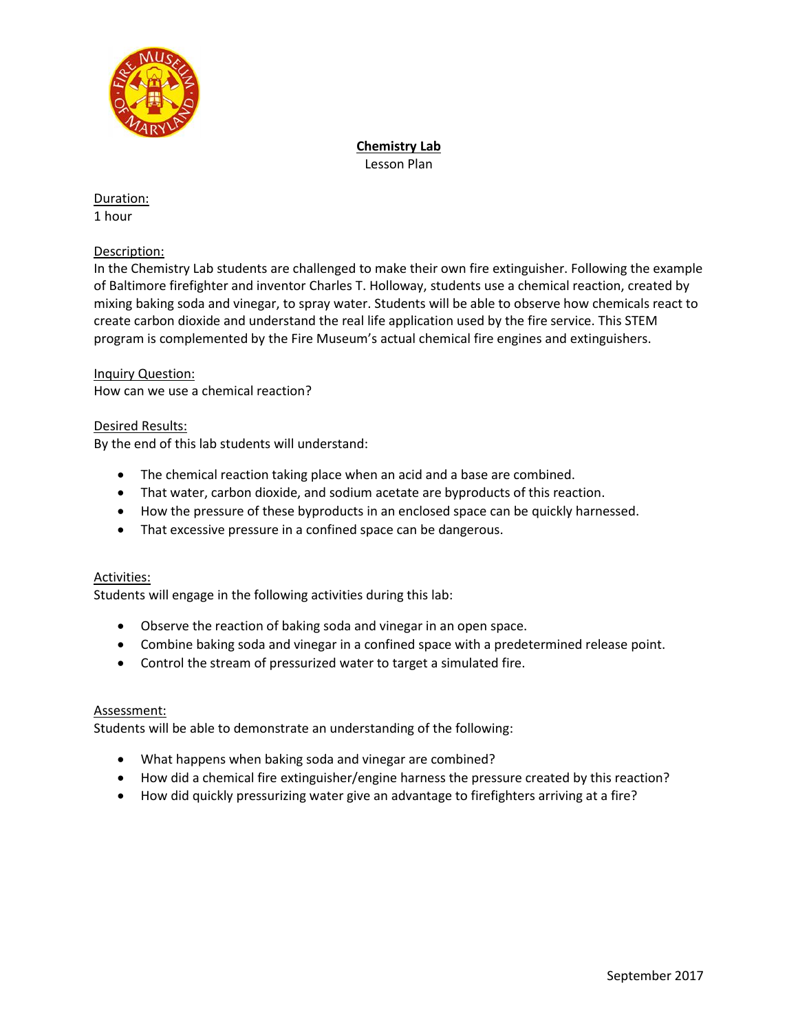

# **Chemistry Lab** Lesson Plan

#### Duration: 1 hour

# Description:

In the Chemistry Lab students are challenged to make their own fire extinguisher. Following the example of Baltimore firefighter and inventor Charles T. Holloway, students use a chemical reaction, created by mixing baking soda and vinegar, to spray water. Students will be able to observe how chemicals react to create carbon dioxide and understand the real life application used by the fire service. This STEM program is complemented by the Fire Museum's actual chemical fire engines and extinguishers.

Inquiry Question: How can we use a chemical reaction?

# Desired Results:

By the end of this lab students will understand:

- The chemical reaction taking place when an acid and a base are combined.
- That water, carbon dioxide, and sodium acetate are byproducts of this reaction.
- How the pressure of these byproducts in an enclosed space can be quickly harnessed.
- That excessive pressure in a confined space can be dangerous.

### Activities:

Students will engage in the following activities during this lab:

- Observe the reaction of baking soda and vinegar in an open space.
- Combine baking soda and vinegar in a confined space with a predetermined release point.
- Control the stream of pressurized water to target a simulated fire.

#### Assessment:

Students will be able to demonstrate an understanding of the following:

- What happens when baking soda and vinegar are combined?
- How did a chemical fire extinguisher/engine harness the pressure created by this reaction?
- How did quickly pressurizing water give an advantage to firefighters arriving at a fire?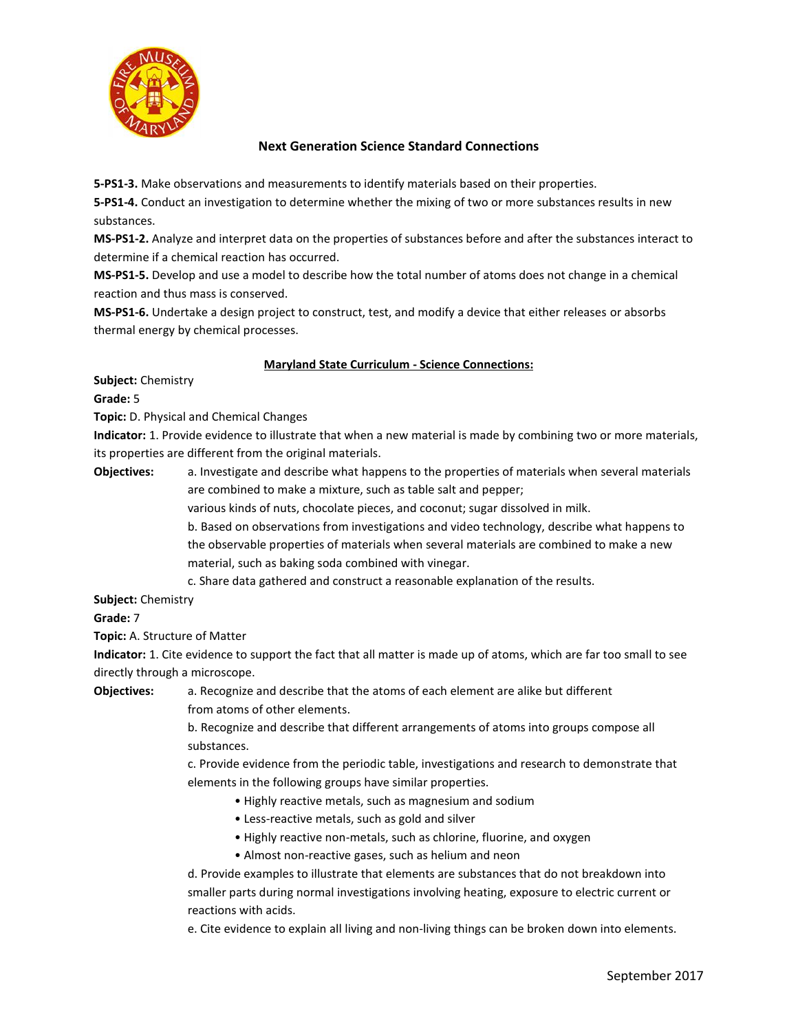

# **Next Generation Science Standard Connections**

**5-PS1-3.** Make observations and measurements to identify materials based on their properties.

**5-PS1-4.** Conduct an investigation to determine whether the mixing of two or more substances results in new substances.

**MS-PS1-2.** Analyze and interpret data on the properties of substances before and after the substances interact to determine if a chemical reaction has occurred.

**MS-PS1-5.** Develop and use a model to describe how the total number of atoms does not change in a chemical reaction and thus mass is conserved.

**MS-PS1-6.** Undertake a design project to construct, test, and modify a device that either releases or absorbs thermal energy by chemical processes.

#### **Maryland State Curriculum - Science Connections:**

**Subject:** Chemistry

**Grade:** 5

**Topic:** D. Physical and Chemical Changes

**Indicator:** 1. Provide evidence to illustrate that when a new material is made by combining two or more materials, its properties are different from the original materials.

**Objectives:** a. Investigate and describe what happens to the properties of materials when several materials are combined to make a mixture, such as table salt and pepper;

various kinds of nuts, chocolate pieces, and coconut; sugar dissolved in milk.

b. Based on observations from investigations and video technology, describe what happens to the observable properties of materials when several materials are combined to make a new material, such as baking soda combined with vinegar.

c. Share data gathered and construct a reasonable explanation of the results.

**Subject:** Chemistry

**Grade:** 7

**Topic:** A. Structure of Matter

**Indicator:** 1. Cite evidence to support the fact that all matter is made up of atoms, which are far too small to see directly through a microscope.

**Objectives:** a. Recognize and describe that the atoms of each element are alike but different from atoms of other elements.

> b. Recognize and describe that different arrangements of atoms into groups compose all substances.

c. Provide evidence from the periodic table, investigations and research to demonstrate that elements in the following groups have similar properties.

- Highly reactive metals, such as magnesium and sodium
- Less-reactive metals, such as gold and silver
- Highly reactive non-metals, such as chlorine, fluorine, and oxygen
- Almost non-reactive gases, such as helium and neon

d. Provide examples to illustrate that elements are substances that do not breakdown into smaller parts during normal investigations involving heating, exposure to electric current or reactions with acids.

e. Cite evidence to explain all living and non-living things can be broken down into elements.